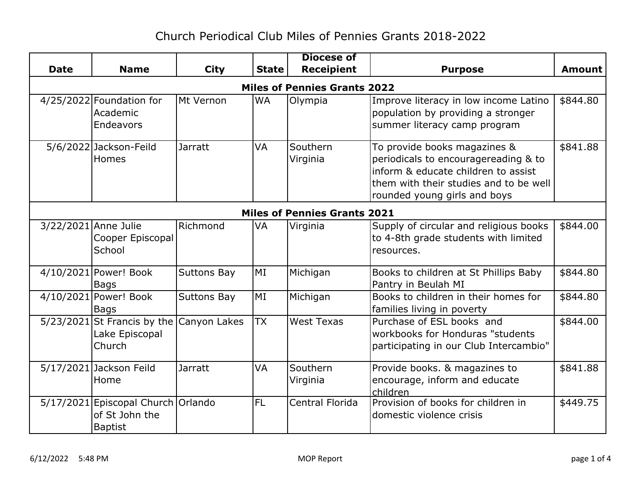## Church Periodical Club Miles of Pennies Grants 2018-2022

|             |                                                                        |                    |              | <b>Diocese of</b>      |                                                                                                                                                                                       |               |  |
|-------------|------------------------------------------------------------------------|--------------------|--------------|------------------------|---------------------------------------------------------------------------------------------------------------------------------------------------------------------------------------|---------------|--|
| <b>Date</b> | <b>Name</b>                                                            | <b>City</b>        | <b>State</b> | <b>Receipient</b>      | <b>Purpose</b>                                                                                                                                                                        | <b>Amount</b> |  |
|             | <b>Miles of Pennies Grants 2022</b>                                    |                    |              |                        |                                                                                                                                                                                       |               |  |
|             | 4/25/2022 Foundation for<br>Academic<br>Endeavors                      | Mt Vernon          | <b>WA</b>    | Olympia                | Improve literacy in low income Latino<br>population by providing a stronger<br>summer literacy camp program                                                                           | \$844.80      |  |
|             | 5/6/2022 Jackson-Feild<br><b>Homes</b>                                 | <b>Jarratt</b>     | <b>VA</b>    | Southern<br>Virginia   | To provide books magazines &<br>periodicals to encouragereading & to<br>inform & educate children to assist<br>them with their studies and to be well<br>rounded young girls and boys | \$841.88      |  |
|             | <b>Miles of Pennies Grants 2021</b>                                    |                    |              |                        |                                                                                                                                                                                       |               |  |
|             | 3/22/2021 Anne Julie<br>Cooper Episcopal<br>School                     | Richmond           | VA           | Virginia               | Supply of circular and religious books<br>to 4-8th grade students with limited<br>resources.                                                                                          | \$844.00      |  |
|             | 4/10/2021 Power! Book<br><b>Bags</b>                                   | <b>Suttons Bay</b> | MI           | Michigan               | Books to children at St Phillips Baby<br>Pantry in Beulah MI                                                                                                                          | \$844.80      |  |
|             | 4/10/2021 Power! Book<br>Bags                                          | <b>Suttons Bay</b> | MI           | Michigan               | Books to children in their homes for<br>families living in poverty                                                                                                                    | \$844.80      |  |
|             | 5/23/2021 St Francis by the Canyon Lakes<br>Lake Episcopal<br>Church   |                    | <b>TX</b>    | <b>West Texas</b>      | Purchase of ESL books and<br>workbooks for Honduras "students<br>participating in our Club Intercambio"                                                                               | \$844.00      |  |
|             | 5/17/2021 Jackson Feild<br>Home                                        | <b>Jarratt</b>     | VA           | Southern<br>Virginia   | Provide books. & magazines to<br>encourage, inform and educate<br>children                                                                                                            | \$841.88      |  |
|             | 5/17/2021 Episcopal Church Orlando<br>of St John the<br><b>Baptist</b> |                    | <b>FL</b>    | <b>Central Florida</b> | Provision of books for children in<br>domestic violence crisis                                                                                                                        | \$449.75      |  |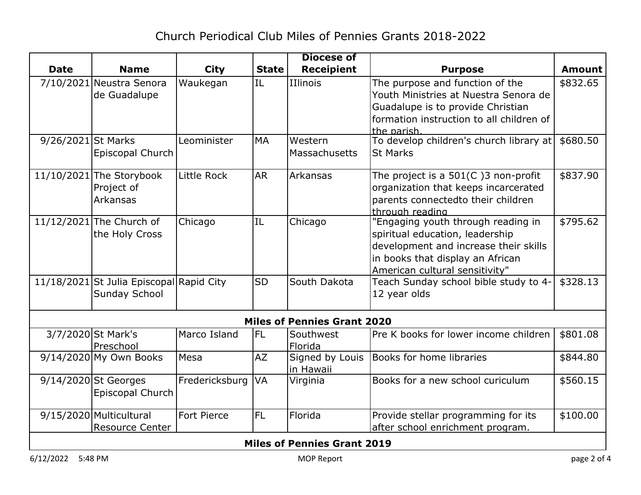| <b>State</b><br><b>Receipient</b><br><b>Date</b><br><b>Name</b><br><b>City</b><br><b>Purpose</b><br>IL<br>IIlinois<br>The purpose and function of the<br>7/10/2021 Neustra Senora<br>Waukegan<br>Youth Ministries at Nuestra Senora de<br>de Guadalupe<br>Guadalupe is to provide Christian<br>formation instruction to all children of<br>the parish.<br>To develop children's church library at<br>9/26/2021 St Marks<br>Leominister<br><b>MA</b><br>Western<br>Episcopal Church<br>Massachusetts<br><b>St Marks</b><br>11/10/2021 The Storybook<br>Little Rock<br><b>AR</b><br>Arkansas<br>The project is a $501(C)$ 3 non-profit<br>Project of<br>organization that keeps incarcerated<br>parents connectedto their children<br>Arkansas<br>through reading<br>"Engaging youth through reading in<br>11/12/2021 The Church of<br>IL<br>Chicago<br>Chicago<br>spiritual education, leadership<br>the Holy Cross<br>development and increase their skills | <b>Amount</b> |  |  |  |  |  |  |
|-------------------------------------------------------------------------------------------------------------------------------------------------------------------------------------------------------------------------------------------------------------------------------------------------------------------------------------------------------------------------------------------------------------------------------------------------------------------------------------------------------------------------------------------------------------------------------------------------------------------------------------------------------------------------------------------------------------------------------------------------------------------------------------------------------------------------------------------------------------------------------------------------------------------------------------------------------------|---------------|--|--|--|--|--|--|
|                                                                                                                                                                                                                                                                                                                                                                                                                                                                                                                                                                                                                                                                                                                                                                                                                                                                                                                                                             |               |  |  |  |  |  |  |
|                                                                                                                                                                                                                                                                                                                                                                                                                                                                                                                                                                                                                                                                                                                                                                                                                                                                                                                                                             | \$832.65      |  |  |  |  |  |  |
|                                                                                                                                                                                                                                                                                                                                                                                                                                                                                                                                                                                                                                                                                                                                                                                                                                                                                                                                                             |               |  |  |  |  |  |  |
|                                                                                                                                                                                                                                                                                                                                                                                                                                                                                                                                                                                                                                                                                                                                                                                                                                                                                                                                                             |               |  |  |  |  |  |  |
|                                                                                                                                                                                                                                                                                                                                                                                                                                                                                                                                                                                                                                                                                                                                                                                                                                                                                                                                                             |               |  |  |  |  |  |  |
|                                                                                                                                                                                                                                                                                                                                                                                                                                                                                                                                                                                                                                                                                                                                                                                                                                                                                                                                                             |               |  |  |  |  |  |  |
|                                                                                                                                                                                                                                                                                                                                                                                                                                                                                                                                                                                                                                                                                                                                                                                                                                                                                                                                                             | \$680.50      |  |  |  |  |  |  |
|                                                                                                                                                                                                                                                                                                                                                                                                                                                                                                                                                                                                                                                                                                                                                                                                                                                                                                                                                             |               |  |  |  |  |  |  |
|                                                                                                                                                                                                                                                                                                                                                                                                                                                                                                                                                                                                                                                                                                                                                                                                                                                                                                                                                             | \$837.90      |  |  |  |  |  |  |
|                                                                                                                                                                                                                                                                                                                                                                                                                                                                                                                                                                                                                                                                                                                                                                                                                                                                                                                                                             |               |  |  |  |  |  |  |
|                                                                                                                                                                                                                                                                                                                                                                                                                                                                                                                                                                                                                                                                                                                                                                                                                                                                                                                                                             |               |  |  |  |  |  |  |
|                                                                                                                                                                                                                                                                                                                                                                                                                                                                                                                                                                                                                                                                                                                                                                                                                                                                                                                                                             |               |  |  |  |  |  |  |
|                                                                                                                                                                                                                                                                                                                                                                                                                                                                                                                                                                                                                                                                                                                                                                                                                                                                                                                                                             | \$795.62      |  |  |  |  |  |  |
|                                                                                                                                                                                                                                                                                                                                                                                                                                                                                                                                                                                                                                                                                                                                                                                                                                                                                                                                                             |               |  |  |  |  |  |  |
|                                                                                                                                                                                                                                                                                                                                                                                                                                                                                                                                                                                                                                                                                                                                                                                                                                                                                                                                                             |               |  |  |  |  |  |  |
| in books that display an African                                                                                                                                                                                                                                                                                                                                                                                                                                                                                                                                                                                                                                                                                                                                                                                                                                                                                                                            |               |  |  |  |  |  |  |
| American cultural sensitivity"                                                                                                                                                                                                                                                                                                                                                                                                                                                                                                                                                                                                                                                                                                                                                                                                                                                                                                                              |               |  |  |  |  |  |  |
| 11/18/2021 St Julia Episcopal Rapid City<br><b>SD</b><br>South Dakota<br>Teach Sunday school bible study to 4-                                                                                                                                                                                                                                                                                                                                                                                                                                                                                                                                                                                                                                                                                                                                                                                                                                              | \$328.13      |  |  |  |  |  |  |
| <b>Sunday School</b><br>12 year olds                                                                                                                                                                                                                                                                                                                                                                                                                                                                                                                                                                                                                                                                                                                                                                                                                                                                                                                        |               |  |  |  |  |  |  |
| <b>Miles of Pennies Grant 2020</b>                                                                                                                                                                                                                                                                                                                                                                                                                                                                                                                                                                                                                                                                                                                                                                                                                                                                                                                          |               |  |  |  |  |  |  |
| 3/7/2020 St Mark's<br>Marco Island<br><b>IFL</b><br>Pre K books for lower income children<br>Southwest                                                                                                                                                                                                                                                                                                                                                                                                                                                                                                                                                                                                                                                                                                                                                                                                                                                      | \$801.08      |  |  |  |  |  |  |
| Preschool<br>Florida                                                                                                                                                                                                                                                                                                                                                                                                                                                                                                                                                                                                                                                                                                                                                                                                                                                                                                                                        |               |  |  |  |  |  |  |
| $9/14/2020$ My Own Books<br><b>AZ</b><br>Signed by Louis<br>Books for home libraries<br>Mesa                                                                                                                                                                                                                                                                                                                                                                                                                                                                                                                                                                                                                                                                                                                                                                                                                                                                | \$844.80      |  |  |  |  |  |  |
| in Hawaii                                                                                                                                                                                                                                                                                                                                                                                                                                                                                                                                                                                                                                                                                                                                                                                                                                                                                                                                                   |               |  |  |  |  |  |  |
| 9/14/2020 St Georges<br>Fredericksburg<br><b>VA</b><br>Books for a new school curiculum<br>Virginia                                                                                                                                                                                                                                                                                                                                                                                                                                                                                                                                                                                                                                                                                                                                                                                                                                                         | \$560.15      |  |  |  |  |  |  |
| Episcopal Church                                                                                                                                                                                                                                                                                                                                                                                                                                                                                                                                                                                                                                                                                                                                                                                                                                                                                                                                            |               |  |  |  |  |  |  |
| 9/15/2020 Multicultural<br>FL<br><b>Fort Pierce</b><br>Florida<br>Provide stellar programming for its                                                                                                                                                                                                                                                                                                                                                                                                                                                                                                                                                                                                                                                                                                                                                                                                                                                       | \$100.00      |  |  |  |  |  |  |
| <b>Resource Center</b><br>after school enrichment program.                                                                                                                                                                                                                                                                                                                                                                                                                                                                                                                                                                                                                                                                                                                                                                                                                                                                                                  |               |  |  |  |  |  |  |
| <b>Miles of Pennies Grant 2019</b>                                                                                                                                                                                                                                                                                                                                                                                                                                                                                                                                                                                                                                                                                                                                                                                                                                                                                                                          |               |  |  |  |  |  |  |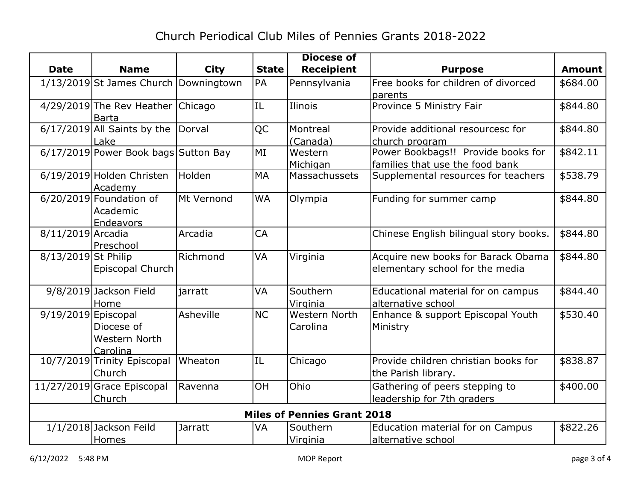|                                    |                                       |                |              | <b>Diocese of</b>    |                                        |               |
|------------------------------------|---------------------------------------|----------------|--------------|----------------------|----------------------------------------|---------------|
| <b>Date</b>                        | <b>Name</b>                           | <b>City</b>    | <b>State</b> | <b>Receipient</b>    | <b>Purpose</b>                         | <b>Amount</b> |
|                                    | 1/13/2019 St James Church Downingtown |                | PA           | Pennsylvania         | Free books for children of divorced    | \$684.00      |
|                                    |                                       |                |              |                      | parents                                |               |
|                                    | 4/29/2019 The Rev Heather Chicago     |                | IL           | Ilinois              | Province 5 Ministry Fair               | \$844.80      |
|                                    | <b>Barta</b>                          |                |              |                      |                                        |               |
|                                    | $6/17/2019$ All Saints by the Dorval  |                | QC           | Montreal             | Provide additional resourcesc for      | \$844.80      |
|                                    | Lake                                  |                |              | (Canada)             | church program                         |               |
|                                    | 6/17/2019 Power Book bags Sutton Bay  |                | MI           | Western              | Power Bookbags!! Provide books for     | \$842.11      |
|                                    |                                       |                |              | Michigan             | families that use the food bank        |               |
|                                    | 6/19/2019 Holden Christen<br>Academy  | Holden         | <b>MA</b>    | Massachussets        | Supplemental resources for teachers    | \$538.79      |
|                                    | $6/20/2019$ Foundation of             | Mt Vernond     | <b>WA</b>    | Olympia              | Funding for summer camp                | \$844.80      |
|                                    | Academic                              |                |              |                      |                                        |               |
|                                    | Endeavors                             |                |              |                      |                                        |               |
| 8/11/2019 Arcadia                  |                                       | Arcadia        | CA           |                      | Chinese English bilingual story books. | \$844.80      |
|                                    | Preschool                             |                |              |                      |                                        |               |
| 8/13/2019 St Philip                |                                       | Richmond       | <b>VA</b>    | Virginia             | Acquire new books for Barack Obama     | \$844.80      |
|                                    | Episcopal Church                      |                |              |                      | elementary school for the media        |               |
|                                    | 9/8/2019 Jackson Field                | jarratt        | VA           | Southern             | Educational material for on campus     | \$844.40      |
|                                    | Home                                  |                |              | Virginia             | alternative school                     |               |
| $9/19/2019$ Episcopal              |                                       | Asheville      | <b>NC</b>    | <b>Western North</b> | Enhance & support Episcopal Youth      | \$530.40      |
|                                    | Diocese of                            |                |              | Carolina             | Ministry                               |               |
|                                    | Western North                         |                |              |                      |                                        |               |
|                                    | Carolina                              |                |              |                      |                                        |               |
|                                    | 10/7/2019 Trinity Episcopal           | Wheaton        | IL           | Chicago              | Provide children christian books for   | \$838.87      |
|                                    | Church                                |                |              |                      | the Parish library.                    |               |
|                                    | 11/27/2019 Grace Episcopal            | Ravenna        | <b>OH</b>    | Ohio                 | Gathering of peers stepping to         | \$400.00      |
|                                    | Church                                |                |              |                      | leadership for 7th graders             |               |
| <b>Miles of Pennies Grant 2018</b> |                                       |                |              |                      |                                        |               |
|                                    | 1/1/2018 Jackson Feild                | <b>Jarratt</b> | VA           | Southern             | Education material for on Campus       | \$822.26      |
|                                    | Homes                                 |                |              | Virginia             | alternative school                     |               |